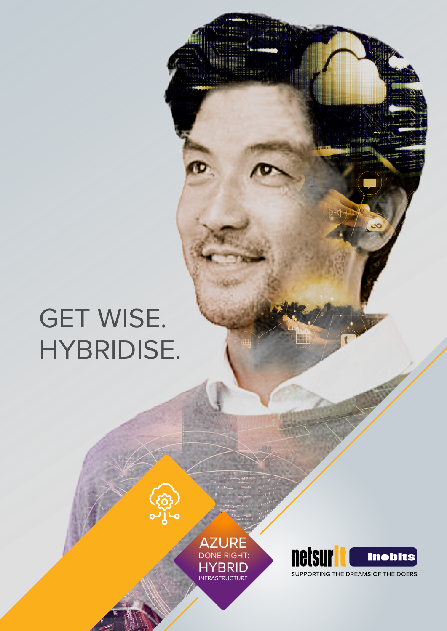# GET WISE. HYBRIDISE.



( ( 33 )<br>0 ) ( 0

dinang

<u> Hillingaa</u>

352



H.

SUPPORTING THE DREAMS OF THE DOERS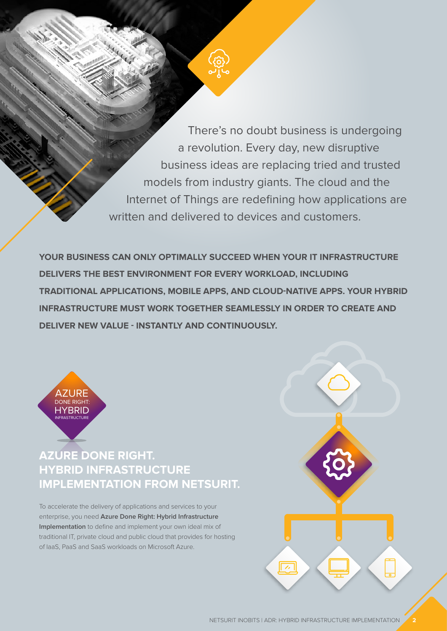There's no doubt business is undergoing a revolution. Every day, new disruptive business ideas are replacing tried and trusted models from industry giants. The cloud and the Internet of Things are redefining how applications are written and delivered to devices and customers.

**YOUR BUSINESS CAN ONLY OPTIMALLY SUCCEED WHEN YOUR IT INFRASTRUCTURE DELIVERS THE BEST ENVIRONMENT FOR EVERY WORKLOAD, INCLUDING TRADITIONAL APPLICATIONS, MOBILE APPS, AND CLOUD-NATIVE APPS. YOUR HYBRID INFRASTRUCTURE MUST WORK TOGETHER SEAMLESSLY IN ORDER TO CREATE AND DELIVER NEW VALUE - INSTANTLY AND CONTINUOUSLY.** 



#### **IMPLEMENTATION FROM NETSURIT.** DNIV I THE H **AZURE DONE RIGHT. HYBRID INFRASTRUCTURE**

To accelerate the delivery of applications and services to your enterprise, you need **Azure Done Right: Hybrid Infrastructure Implementation** to define and implement your own ideal mix of traditional IT, private cloud and public cloud that provides for hosting of IaaS, PaaS and SaaS workloads on Microsoft Azure.